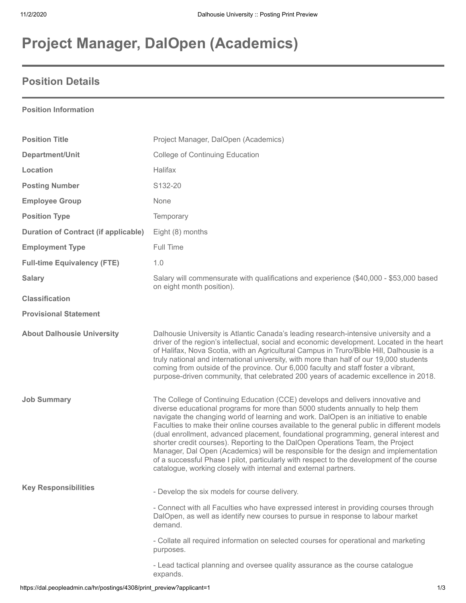# **Project Manager, DalOpen (Academics)**

## **Position Details**

### **Position Information**

| <b>Position Title</b>                       | Project Manager, DalOpen (Academics)                                                                                                                                                                                                                                                                                                                                                                                                                                                                                                                                                                                                                                                                                                                                                    |
|---------------------------------------------|-----------------------------------------------------------------------------------------------------------------------------------------------------------------------------------------------------------------------------------------------------------------------------------------------------------------------------------------------------------------------------------------------------------------------------------------------------------------------------------------------------------------------------------------------------------------------------------------------------------------------------------------------------------------------------------------------------------------------------------------------------------------------------------------|
| Department/Unit                             | <b>College of Continuing Education</b>                                                                                                                                                                                                                                                                                                                                                                                                                                                                                                                                                                                                                                                                                                                                                  |
| Location                                    | Halifax                                                                                                                                                                                                                                                                                                                                                                                                                                                                                                                                                                                                                                                                                                                                                                                 |
| <b>Posting Number</b>                       | S132-20                                                                                                                                                                                                                                                                                                                                                                                                                                                                                                                                                                                                                                                                                                                                                                                 |
| <b>Employee Group</b>                       | None                                                                                                                                                                                                                                                                                                                                                                                                                                                                                                                                                                                                                                                                                                                                                                                    |
| <b>Position Type</b>                        | Temporary                                                                                                                                                                                                                                                                                                                                                                                                                                                                                                                                                                                                                                                                                                                                                                               |
| <b>Duration of Contract (if applicable)</b> | Eight (8) months                                                                                                                                                                                                                                                                                                                                                                                                                                                                                                                                                                                                                                                                                                                                                                        |
| <b>Employment Type</b>                      | Full Time                                                                                                                                                                                                                                                                                                                                                                                                                                                                                                                                                                                                                                                                                                                                                                               |
| <b>Full-time Equivalency (FTE)</b>          | 1.0                                                                                                                                                                                                                                                                                                                                                                                                                                                                                                                                                                                                                                                                                                                                                                                     |
| <b>Salary</b>                               | Salary will commensurate with qualifications and experience (\$40,000 - \$53,000 based<br>on eight month position).                                                                                                                                                                                                                                                                                                                                                                                                                                                                                                                                                                                                                                                                     |
| <b>Classification</b>                       |                                                                                                                                                                                                                                                                                                                                                                                                                                                                                                                                                                                                                                                                                                                                                                                         |
| <b>Provisional Statement</b>                |                                                                                                                                                                                                                                                                                                                                                                                                                                                                                                                                                                                                                                                                                                                                                                                         |
| <b>About Dalhousie University</b>           | Dalhousie University is Atlantic Canada's leading research-intensive university and a<br>driver of the region's intellectual, social and economic development. Located in the heart<br>of Halifax, Nova Scotia, with an Agricultural Campus in Truro/Bible Hill, Dalhousie is a<br>truly national and international university, with more than half of our 19,000 students<br>coming from outside of the province. Our 6,000 faculty and staff foster a vibrant,<br>purpose-driven community, that celebrated 200 years of academic excellence in 2018.                                                                                                                                                                                                                                 |
| <b>Job Summary</b>                          | The College of Continuing Education (CCE) develops and delivers innovative and<br>diverse educational programs for more than 5000 students annually to help them<br>navigate the changing world of learning and work. DalOpen is an initiative to enable<br>Faculties to make their online courses available to the general public in different models<br>(dual enrollment, advanced placement, foundational programming, general interest and<br>shorter credit courses). Reporting to the DalOpen Operations Team, the Project<br>Manager, Dal Open (Academics) will be responsible for the design and implementation<br>of a successful Phase I pilot, particularly with respect to the development of the course<br>catalogue, working closely with internal and external partners. |
| <b>Key Responsibilities</b>                 | - Develop the six models for course delivery.                                                                                                                                                                                                                                                                                                                                                                                                                                                                                                                                                                                                                                                                                                                                           |
|                                             | - Connect with all Faculties who have expressed interest in providing courses through<br>DalOpen, as well as identify new courses to pursue in response to labour market<br>demand.                                                                                                                                                                                                                                                                                                                                                                                                                                                                                                                                                                                                     |
|                                             | - Collate all required information on selected courses for operational and marketing<br>purposes.                                                                                                                                                                                                                                                                                                                                                                                                                                                                                                                                                                                                                                                                                       |
|                                             | - Lead tactical planning and oversee quality assurance as the course catalogue<br>expands.                                                                                                                                                                                                                                                                                                                                                                                                                                                                                                                                                                                                                                                                                              |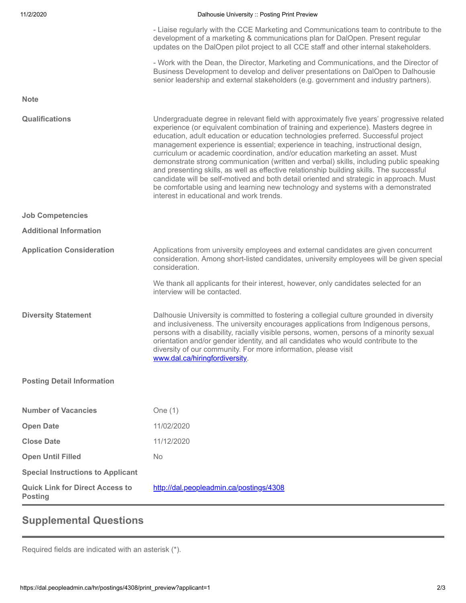| 11/2/2020 |  |  |  |
|-----------|--|--|--|
|-----------|--|--|--|

#### Dalhousie University :: Posting Print Preview

- Liaise regularly with the CCE Marketing and Communications team to contribute to the development of a marketing & communications plan for DalOpen. Present regular updates on the DalOpen pilot project to all CCE staff and other internal stakeholders.

- Work with the Dean, the Director, Marketing and Communications, and the Director of Business Development to develop and deliver presentations on DalOpen to Dalhousie senior leadership and external stakeholders (e.g. government and industry partners).

**Note**

| <b>Qualifications</b>                                    | Undergraduate degree in relevant field with approximately five years' progressive related<br>experience (or equivalent combination of training and experience). Masters degree in<br>education, adult education or education technologies preferred. Successful project<br>management experience is essential; experience in teaching, instructional design,<br>curriculum or academic coordination, and/or education marketing an asset. Must<br>demonstrate strong communication (written and verbal) skills, including public speaking<br>and presenting skills, as well as effective relationship building skills. The successful<br>candidate will be self-motived and both detail oriented and strategic in approach. Must<br>be comfortable using and learning new technology and systems with a demonstrated<br>interest in educational and work trends. |
|----------------------------------------------------------|------------------------------------------------------------------------------------------------------------------------------------------------------------------------------------------------------------------------------------------------------------------------------------------------------------------------------------------------------------------------------------------------------------------------------------------------------------------------------------------------------------------------------------------------------------------------------------------------------------------------------------------------------------------------------------------------------------------------------------------------------------------------------------------------------------------------------------------------------------------|
| <b>Job Competencies</b>                                  |                                                                                                                                                                                                                                                                                                                                                                                                                                                                                                                                                                                                                                                                                                                                                                                                                                                                  |
| <b>Additional Information</b>                            |                                                                                                                                                                                                                                                                                                                                                                                                                                                                                                                                                                                                                                                                                                                                                                                                                                                                  |
| <b>Application Consideration</b>                         | Applications from university employees and external candidates are given concurrent<br>consideration. Among short-listed candidates, university employees will be given special<br>consideration.                                                                                                                                                                                                                                                                                                                                                                                                                                                                                                                                                                                                                                                                |
|                                                          | We thank all applicants for their interest, however, only candidates selected for an<br>interview will be contacted.                                                                                                                                                                                                                                                                                                                                                                                                                                                                                                                                                                                                                                                                                                                                             |
| <b>Diversity Statement</b>                               | Dalhousie University is committed to fostering a collegial culture grounded in diversity<br>and inclusiveness. The university encourages applications from Indigenous persons,<br>persons with a disability, racially visible persons, women, persons of a minority sexual<br>orientation and/or gender identity, and all candidates who would contribute to the<br>diversity of our community. For more information, please visit<br>www.dal.ca/hiringfordiversity.                                                                                                                                                                                                                                                                                                                                                                                             |
| <b>Posting Detail Information</b>                        |                                                                                                                                                                                                                                                                                                                                                                                                                                                                                                                                                                                                                                                                                                                                                                                                                                                                  |
| <b>Number of Vacancies</b>                               | One $(1)$                                                                                                                                                                                                                                                                                                                                                                                                                                                                                                                                                                                                                                                                                                                                                                                                                                                        |
| <b>Open Date</b>                                         | 11/02/2020                                                                                                                                                                                                                                                                                                                                                                                                                                                                                                                                                                                                                                                                                                                                                                                                                                                       |
| <b>Close Date</b>                                        | 11/12/2020                                                                                                                                                                                                                                                                                                                                                                                                                                                                                                                                                                                                                                                                                                                                                                                                                                                       |
| <b>Open Until Filled</b>                                 | <b>No</b>                                                                                                                                                                                                                                                                                                                                                                                                                                                                                                                                                                                                                                                                                                                                                                                                                                                        |
| <b>Special Instructions to Applicant</b>                 |                                                                                                                                                                                                                                                                                                                                                                                                                                                                                                                                                                                                                                                                                                                                                                                                                                                                  |
| <b>Quick Link for Direct Access to</b><br><b>Posting</b> | http://dal.peopleadmin.ca/postings/4308                                                                                                                                                                                                                                                                                                                                                                                                                                                                                                                                                                                                                                                                                                                                                                                                                          |

### **Supplemental Questions**

Required fields are indicated with an asterisk (\*).